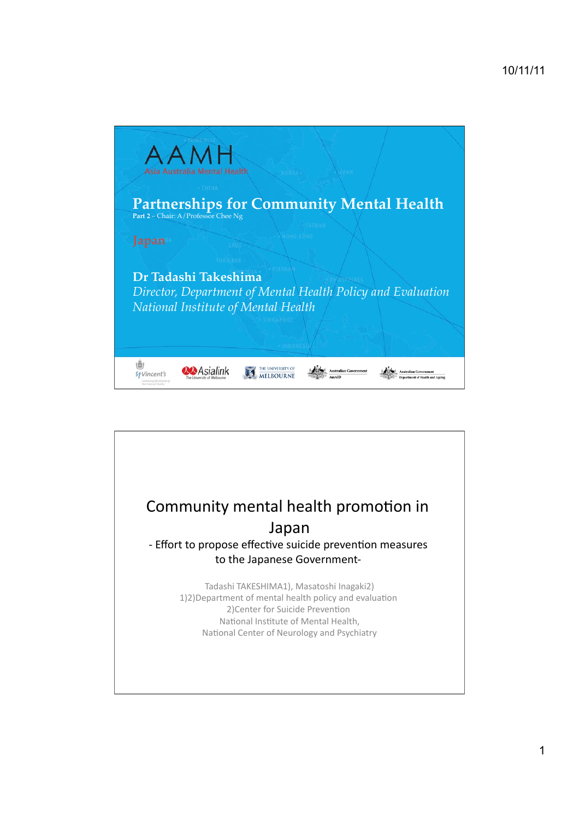

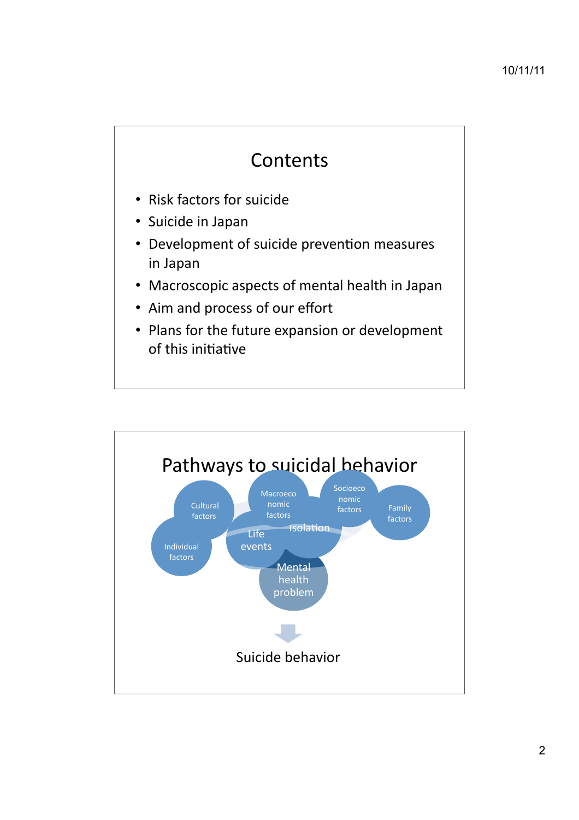

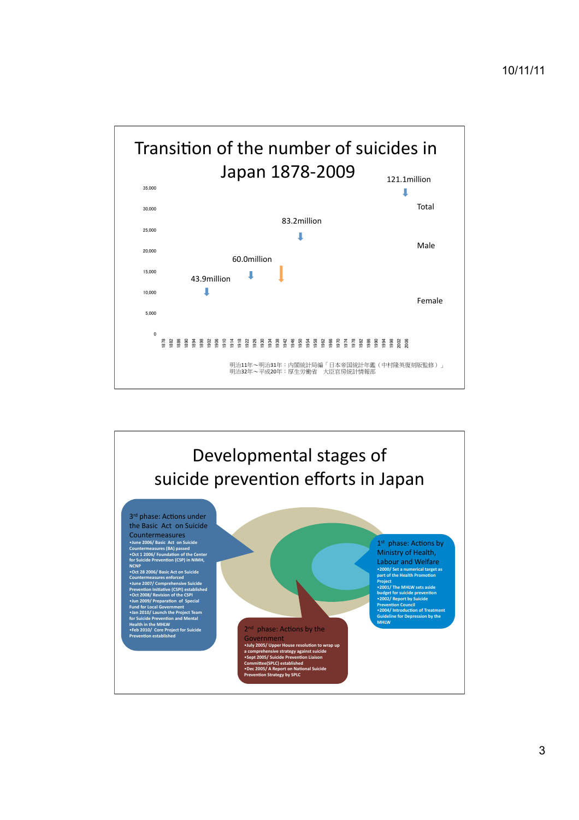

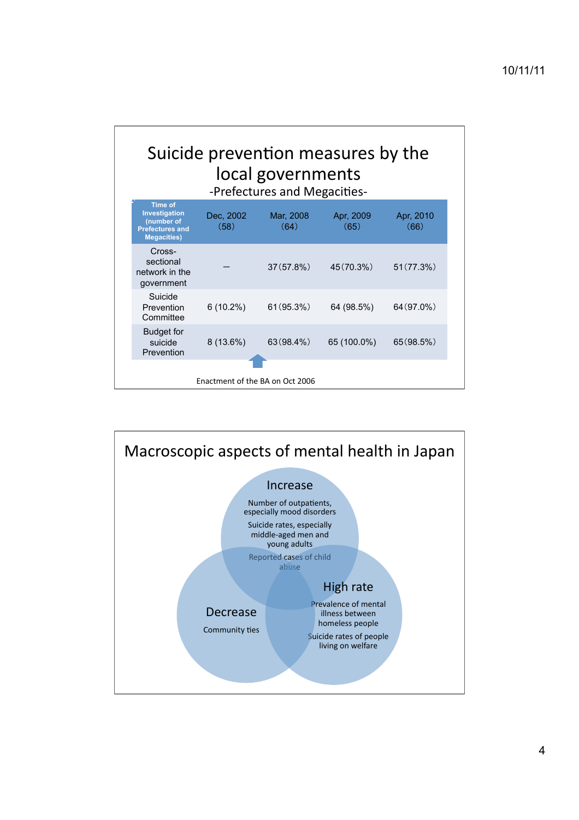## Suicide prevention measures by the local governments

-Prefectures and Megacities-

| <b>Time of</b><br>Investigation<br>(number of<br><b>Prefectures and</b><br><b>Megacities)</b> | Dec. 2002<br>(58) | Mar, 2008<br>(64) | Apr, 2009<br>(65) | Apr, 2010<br>(66) |
|-----------------------------------------------------------------------------------------------|-------------------|-------------------|-------------------|-------------------|
| Cross-<br>sectional<br>network in the<br>government                                           |                   | 37(57.8%)         | 45(70.3%)         | 51(77.3%)         |
| Suicide<br>Prevention<br>Committee                                                            | $6(10.2\%)$       | 61(95.3%)         | 64 (98.5%)        | $64(97.0\%)$      |
| <b>Budget for</b><br>suicide<br>Prevention                                                    | $8(13.6\%)$       | 63(98.4%)         | 65 (100.0%)       | 65(98.5%)         |
| Enactment of the BA on Oct 2006                                                               |                   |                   |                   |                   |

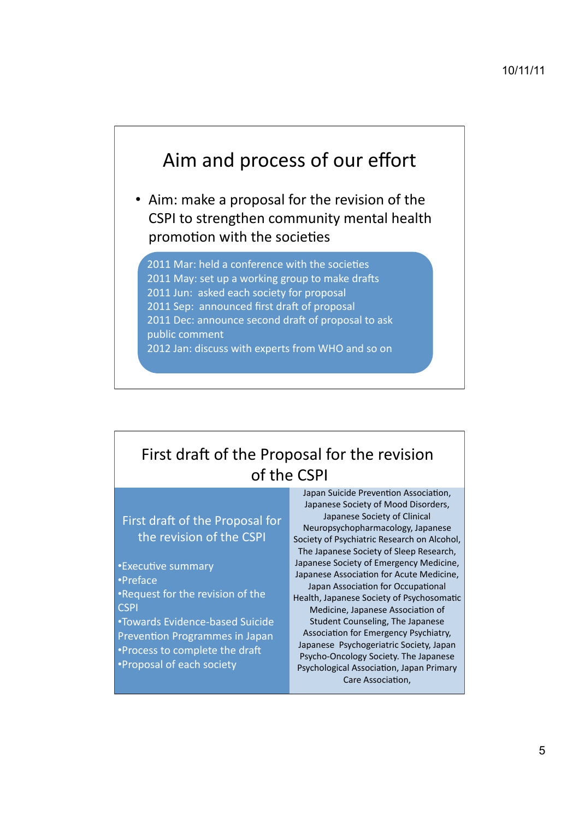## Aim and process of our effort

• Aim: make a proposal for the revision of the CSPI to strengthen community mental health promotion with the societies

2011 Mar: held a conference with the societies 2011 May: set up a working group to make drafts 2011 Jun: asked each society for proposal 2011 Sep: announced first draft of proposal 2011 Dec: announce second draft of proposal to ask public comment 2012 Jan: discuss with experts from WHO and so on

## First draft of the Proposal for the revision of the CSPI

First draft of the Proposal for the revision of the CSPI

•Executive summary •Preface .Request for the revision of the **CSPI** •Towards Evidence-based Suicide **Prevention Programmes in Japan** •Process to complete the draft •Proposal of each society

Japan Suicide Prevention Association. Japanese Society of Mood Disorders, Japanese Society of Clinical Neuropsychopharmacology, Japanese Society of Psychiatric Research on Alcohol, The Japanese Society of Sleep Research, Japanese Society of Emergency Medicine, Japanese Association for Acute Medicine. Japan Association for Occupational Health, Japanese Society of Psychosomatic Medicine. Japanese Association of Student Counseling, The Japanese Association for Emergency Psychiatry, Japanese Psychogeriatric Society, Japan Psycho-Oncology Society. The Japanese Psychological Association, Japan Primary Care Association.